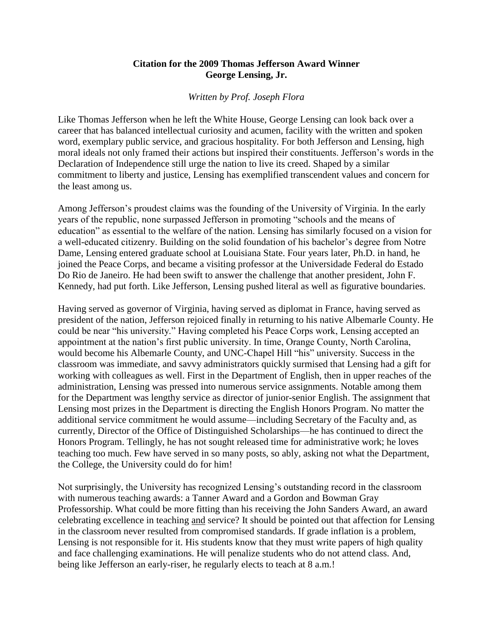## **Citation for the 2009 Thomas Jefferson Award Winner George Lensing, Jr.**

## *Written by Prof. Joseph Flora*

Like Thomas Jefferson when he left the White House, George Lensing can look back over a career that has balanced intellectual curiosity and acumen, facility with the written and spoken word, exemplary public service, and gracious hospitality. For both Jefferson and Lensing, high moral ideals not only framed their actions but inspired their constituents. Jefferson's words in the Declaration of Independence still urge the nation to live its creed. Shaped by a similar commitment to liberty and justice, Lensing has exemplified transcendent values and concern for the least among us.

Among Jefferson's proudest claims was the founding of the University of Virginia. In the early years of the republic, none surpassed Jefferson in promoting "schools and the means of education" as essential to the welfare of the nation. Lensing has similarly focused on a vision for a well-educated citizenry. Building on the solid foundation of his bachelor's degree from Notre Dame, Lensing entered graduate school at Louisiana State. Four years later, Ph.D. in hand, he joined the Peace Corps, and became a visiting professor at the Universidade Federal do Estado Do Rio de Janeiro. He had been swift to answer the challenge that another president, John F. Kennedy, had put forth. Like Jefferson, Lensing pushed literal as well as figurative boundaries.

Having served as governor of Virginia, having served as diplomat in France, having served as president of the nation, Jefferson rejoiced finally in returning to his native Albemarle County. He could be near "his university." Having completed his Peace Corps work, Lensing accepted an appointment at the nation's first public university. In time, Orange County, North Carolina, would become his Albemarle County, and UNC-Chapel Hill "his" university. Success in the classroom was immediate, and savvy administrators quickly surmised that Lensing had a gift for working with colleagues as well. First in the Department of English, then in upper reaches of the administration, Lensing was pressed into numerous service assignments. Notable among them for the Department was lengthy service as director of junior-senior English. The assignment that Lensing most prizes in the Department is directing the English Honors Program. No matter the additional service commitment he would assume—including Secretary of the Faculty and, as currently, Director of the Office of Distinguished Scholarships—he has continued to direct the Honors Program. Tellingly, he has not sought released time for administrative work; he loves teaching too much. Few have served in so many posts, so ably, asking not what the Department, the College, the University could do for him!

Not surprisingly, the University has recognized Lensing's outstanding record in the classroom with numerous teaching awards: a Tanner Award and a Gordon and Bowman Gray Professorship. What could be more fitting than his receiving the John Sanders Award, an award celebrating excellence in teaching and service? It should be pointed out that affection for Lensing in the classroom never resulted from compromised standards. If grade inflation is a problem, Lensing is not responsible for it. His students know that they must write papers of high quality and face challenging examinations. He will penalize students who do not attend class. And, being like Jefferson an early-riser, he regularly elects to teach at 8 a.m.!